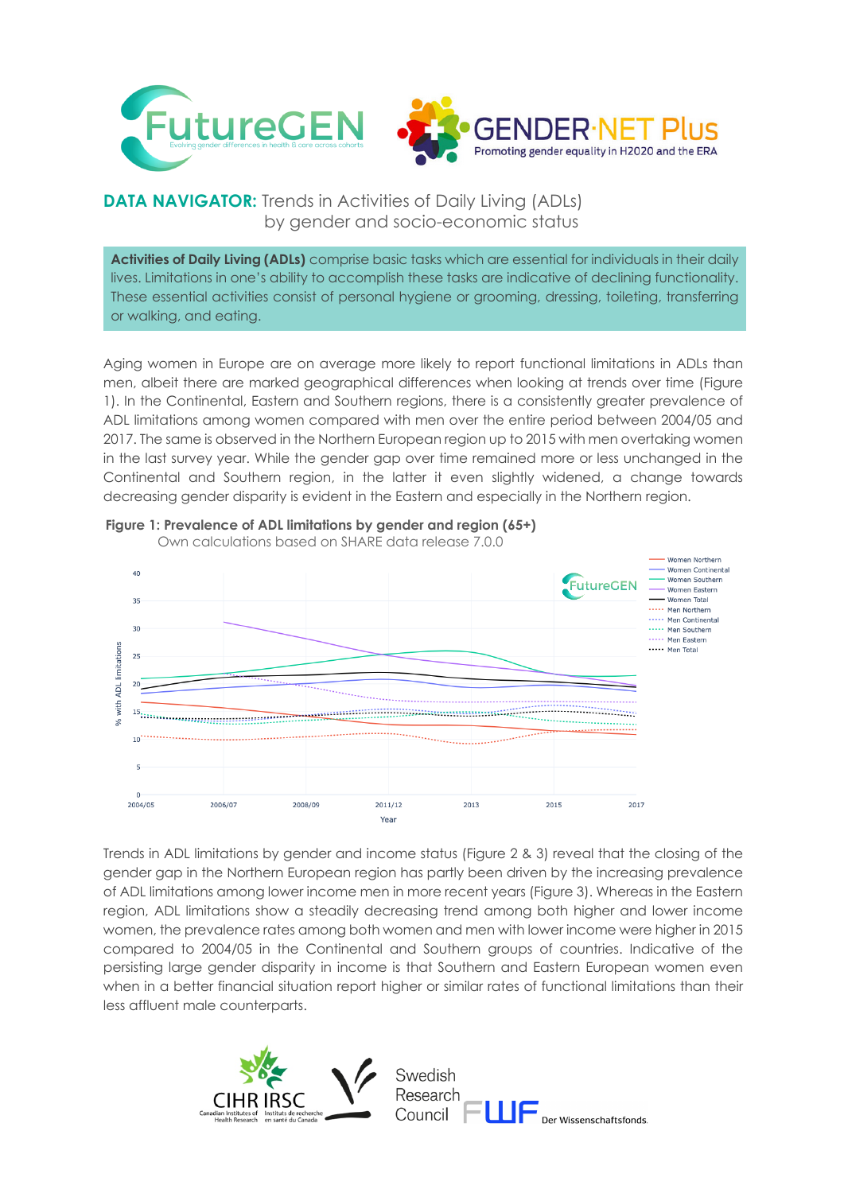

## **DATA NAVIGATOR:** Trends in Activities of Daily Living (ADLs) by gender and socio-economic status

**Activities of Daily Living (ADLs)** comprise basic tasks which are essential for individuals in their daily lives. Limitations in one's ability to accomplish these tasks are indicative of declining functionality. These essential activities consist of personal hygiene or grooming, dressing, toileting, transferring or walking, and eating.

Aging women in Europe are on average more likely to report functional limitations in ADLs than men, albeit there are marked geographical differences when looking at trends over time (Figure 1). In the Continental, Eastern and Southern regions, there is a consistently greater prevalence of ADL limitations among women compared with men over the entire period between 2004/05 and 2017. The same is observed in the Northern European region up to 2015 with men overtaking women in the last survey year. While the gender gap over time remained more or less unchanged in the Continental and Southern region, in the latter it even slightly widened, a change towards decreasing gender disparity is evident in the Eastern and especially in the Northern region.



## **Figure 1: Prevalence of ADL limitations by gender and region (65+)**

Trends in ADL limitations by gender and income status (Figure 2 & 3) reveal that the closing of the gender gap in the Northern European region has partly been driven by the increasing prevalence of ADL limitations among lower income men in more recent years (Figure 3). Whereas in the Eastern region, ADL limitations show a steadily decreasing trend among both higher and lower income women, the prevalence rates among both women and men with lower income were higher in 2015 compared to 2004/05 in the Continental and Southern groups of countries. Indicative of the persisting large gender disparity in income is that Southern and Eastern European women even when in a better financial situation report higher or similar rates of functional limitations than their less affluent male counterparts.